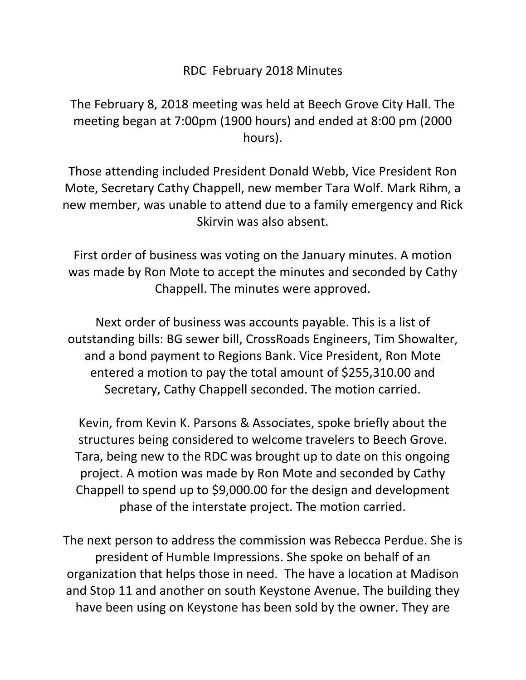## RDC February 2018 Minutes

The February 8, 2018 meeting was held at Beech Grove City Hall. The meeting began at 7:00pm (1900 hours) and ended at 8:00 pm (2000 hours).

Those attending included President Donald Webb, Vice President Ron Mote, Secretary Cathy Chappell, new member Tara Wolf. Mark Rihm, a new member, was unable to attend due to a family emergency and Rick Skirvin was also absent.

First order of business was voting on the January minutes. A motion was made by Ron Mote to accept the minutes and seconded by Cathy Chappell. The minutes were approved.

Next order of business was accounts payable. This is a list of outstanding bills: BG sewer bill, CrossRoads Engineers, Tim Showalter, and a bond payment to Regions Bank. Vice President, Ron Mote entered a motion to pay the total amount of \$255,310.00 and Secretary, Cathy Chappell seconded. The motion carried.

Kevin, from Kevin K. Parsons & Associates, spoke briefly about the structures being considered to welcome travelers to Beech Grove. Tara, being new to the RDC was brought up to date on this ongoing project. A motion was made by Ron Mote and seconded by Cathy Chappell to spend up to \$9,000.00 for the design and development phase of the interstate project. The motion carried.

The next person to address the commission was Rebecca Perdue. She is president of Humble Impressions. She spoke on behalf of an organization that helps those in need. The have a location at Madison and Stop 11 and another on south Keystone Avenue. The building they have been using on Keystone has been sold by the owner. They are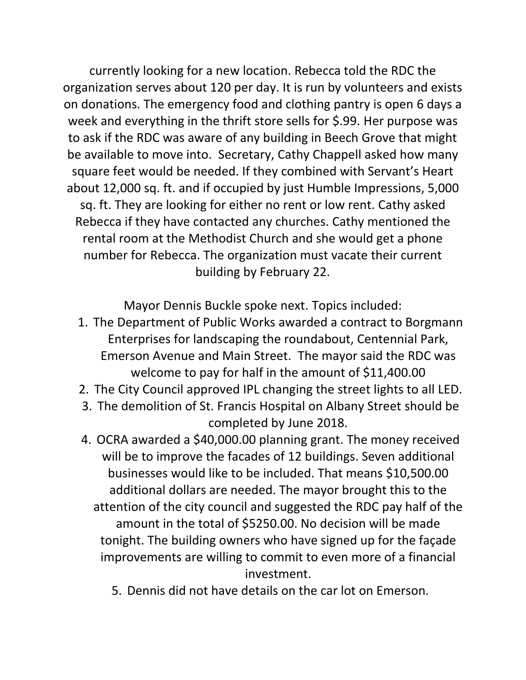currently looking for a new location. Rebecca told the RDC the organization serves about 120 per day. It is run by volunteers and exists on donations. The emergency food and clothing pantry is open 6 days a week and everything in the thrift store sells for \$.99. Her purpose was to ask if the RDC was aware of any building in Beech Grove that might be available to move into. Secretary, Cathy Chappell asked how many square feet would be needed. If they combined with Servant's Heart about 12,000 sq. ft. and if occupied by just Humble Impressions, 5,000 sq. ft. They are looking for either no rent or low rent. Cathy asked Rebecca if they have contacted any churches. Cathy mentioned the rental room at the Methodist Church and she would get a phone number for Rebecca. The organization must vacate their current building by February 22.

Mayor Dennis Buckle spoke next. Topics included:

- 1. The Department of Public Works awarded a contract to Borgmann Enterprises for landscaping the roundabout, Centennial Park, Emerson Avenue and Main Street. The mayor said the RDC was welcome to pay for half in the amount of \$11,400.00
- 2. The City Council approved IPL changing the street lights to all LED.
- 3. The demolition of St. Francis Hospital on Albany Street should be completed by June 2018.
- 4. OCRA awarded a \$40,000.00 planning grant. The money received will be to improve the facades of 12 buildings. Seven additional businesses would like to be included. That means \$10,500.00 additional dollars are needed. The mayor brought this to the attention of the city council and suggested the RDC pay half of the amount in the total of \$5250.00. No decision will be made tonight. The building owners who have signed up for the façade improvements are willing to commit to even more of a financial investment.
	- 5. Dennis did not have details on the car lot on Emerson.